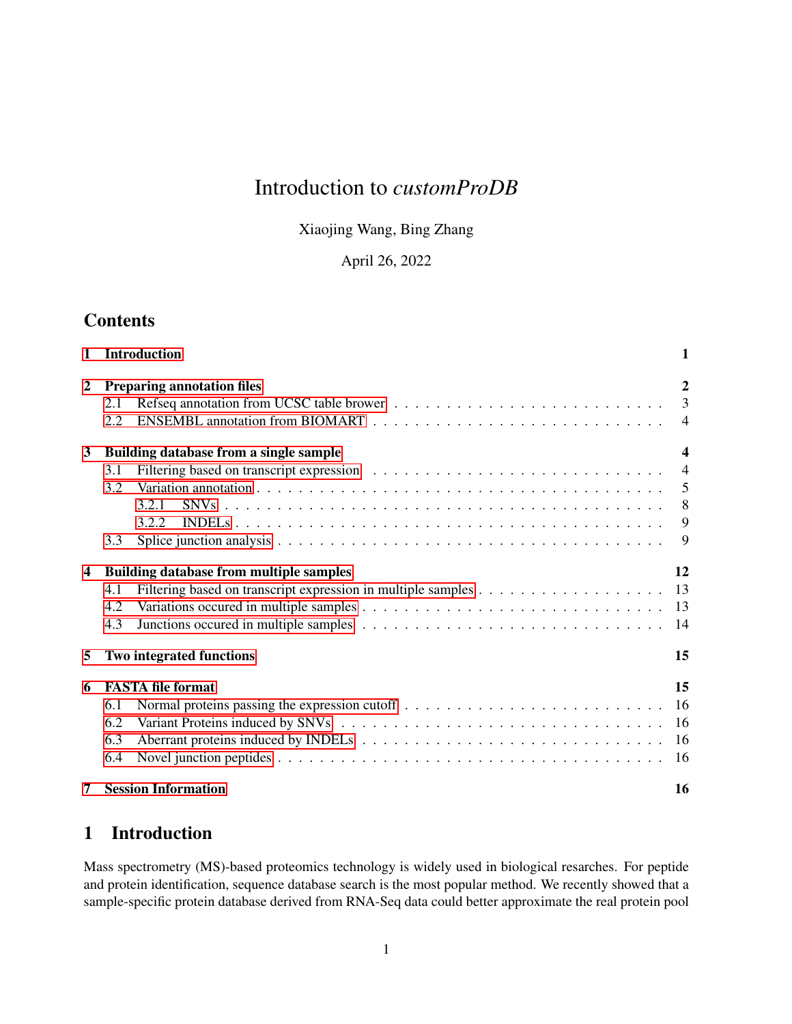# Introduction to *customProDB*

Xiaojing Wang, Bing Zhang

April 26, 2022

# **Contents**

| 1                       | <b>Introduction</b>                                                           | 1                                                             |
|-------------------------|-------------------------------------------------------------------------------|---------------------------------------------------------------|
| $\overline{2}$          | <b>Preparing annotation files</b><br>2.1<br>2.2                               | $\overline{2}$<br>3<br>$\overline{4}$                         |
| 3                       | Building database from a single sample<br>3.1<br>3.2<br>3.2.1<br>3.2.2<br>3.3 | $\overline{\mathbf{4}}$<br>$\overline{4}$<br>5<br>8<br>9<br>9 |
| $\overline{\mathbf{4}}$ | <b>Building database from multiple samples</b><br>4.1<br>4.2<br>4.3           | 12<br>13<br>13<br>14                                          |
| 5                       | <b>Two integrated functions</b>                                               | 15                                                            |
| 6                       | <b>FASTA file format</b><br>6.1<br>6.2<br>6.3<br>6.4                          | 15<br>16<br>16<br>16<br>16                                    |
| 7                       | <b>Session Information</b>                                                    | 16                                                            |

# <span id="page-0-0"></span>1 Introduction

Mass spectrometry (MS)-based proteomics technology is widely used in biological resarches. For peptide and protein identification, sequence database search is the most popular method. We recently showed that a sample-specific protein database derived from RNA-Seq data could better approximate the real protein pool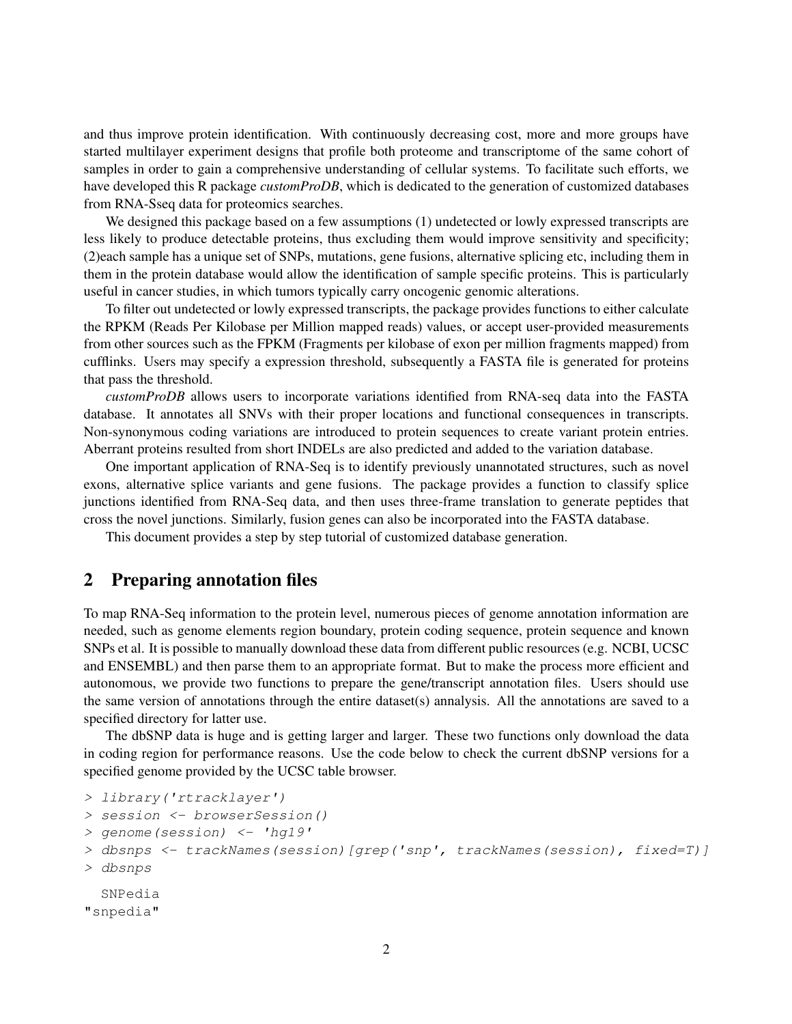and thus improve protein identification. With continuously decreasing cost, more and more groups have started multilayer experiment designs that profile both proteome and transcriptome of the same cohort of samples in order to gain a comprehensive understanding of cellular systems. To facilitate such efforts, we have developed this R package *customProDB*, which is dedicated to the generation of customized databases from RNA-Sseq data for proteomics searches.

We designed this package based on a few assumptions (1) undetected or lowly expressed transcripts are less likely to produce detectable proteins, thus excluding them would improve sensitivity and specificity; (2)each sample has a unique set of SNPs, mutations, gene fusions, alternative splicing etc, including them in them in the protein database would allow the identification of sample specific proteins. This is particularly useful in cancer studies, in which tumors typically carry oncogenic genomic alterations.

To filter out undetected or lowly expressed transcripts, the package provides functions to either calculate the RPKM (Reads Per Kilobase per Million mapped reads) values, or accept user-provided measurements from other sources such as the FPKM (Fragments per kilobase of exon per million fragments mapped) from cufflinks. Users may specify a expression threshold, subsequently a FASTA file is generated for proteins that pass the threshold.

*customProDB* allows users to incorporate variations identified from RNA-seq data into the FASTA database. It annotates all SNVs with their proper locations and functional consequences in transcripts. Non-synonymous coding variations are introduced to protein sequences to create variant protein entries. Aberrant proteins resulted from short INDELs are also predicted and added to the variation database.

One important application of RNA-Seq is to identify previously unannotated structures, such as novel exons, alternative splice variants and gene fusions. The package provides a function to classify splice junctions identified from RNA-Seq data, and then uses three-frame translation to generate peptides that cross the novel junctions. Similarly, fusion genes can also be incorporated into the FASTA database.

This document provides a step by step tutorial of customized database generation.

## <span id="page-1-0"></span>2 Preparing annotation files

To map RNA-Seq information to the protein level, numerous pieces of genome annotation information are needed, such as genome elements region boundary, protein coding sequence, protein sequence and known SNPs et al. It is possible to manually download these data from different public resources (e.g. NCBI, UCSC and ENSEMBL) and then parse them to an appropriate format. But to make the process more efficient and autonomous, we provide two functions to prepare the gene/transcript annotation files. Users should use the same version of annotations through the entire dataset(s) annalysis. All the annotations are saved to a specified directory for latter use.

The dbSNP data is huge and is getting larger and larger. These two functions only download the data in coding region for performance reasons. Use the code below to check the current dbSNP versions for a specified genome provided by the UCSC table browser.

```
> library('rtracklayer')
> session <- browserSession()
> genome(session) <- 'hg19'
> dbsnps <- trackNames(session)[grep('snp', trackNames(session), fixed=T)]
> dbsnps
 SNPedia
"snpedia"
```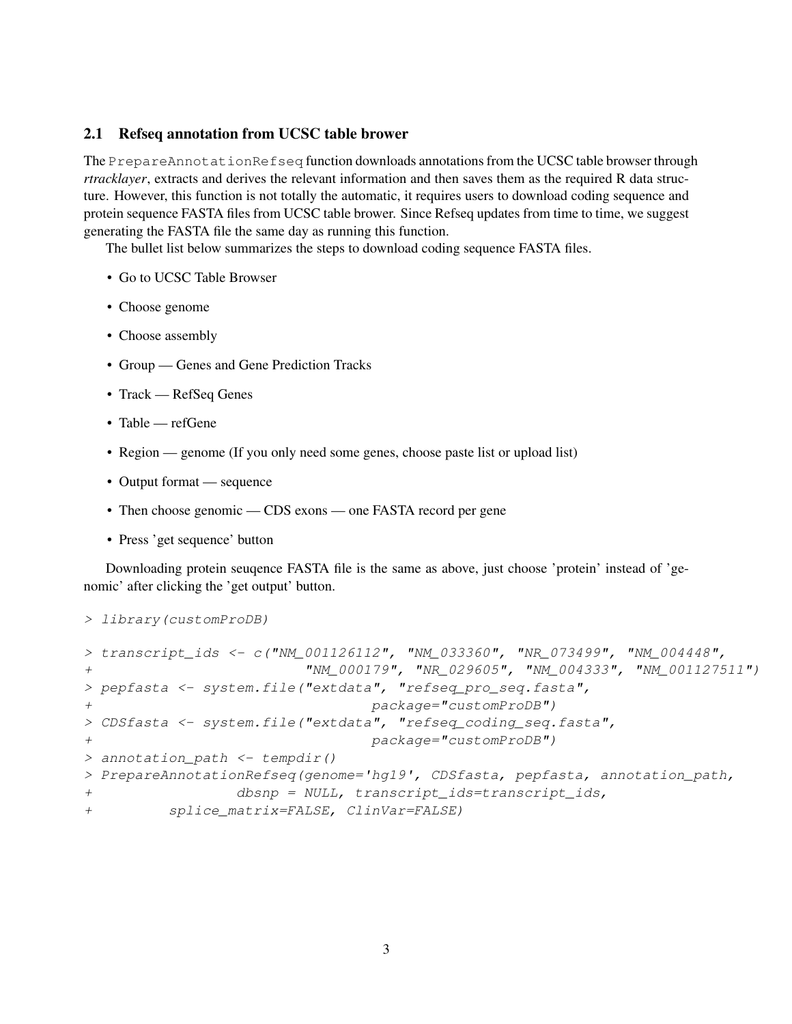#### <span id="page-2-0"></span>2.1 Refseq annotation from UCSC table brower

The PrepareAnnotationRefseq function downloads annotations from the UCSC table browser through *rtracklayer*, extracts and derives the relevant information and then saves them as the required R data structure. However, this function is not totally the automatic, it requires users to download coding sequence and protein sequence FASTA files from UCSC table brower. Since Refseq updates from time to time, we suggest generating the FASTA file the same day as running this function.

The bullet list below summarizes the steps to download coding sequence FASTA files.

- Go to UCSC Table Browser
- Choose genome
- Choose assembly
- Group Genes and Gene Prediction Tracks
- Track RefSeq Genes
- Table refGene
- Region genome (If you only need some genes, choose paste list or upload list)
- Output format sequence
- Then choose genomic CDS exons one FASTA record per gene
- Press 'get sequence' button

Downloading protein seuqence FASTA file is the same as above, just choose 'protein' instead of 'genomic' after clicking the 'get output' button.

```
> library(customProDB)
```

```
> transcript_ids <- c("NM_001126112", "NM_033360", "NR_073499", "NM 004448",
+ "NM_000179", "NR_029605", "NM_004333", "NM_001127511")
> pepfasta <- system.file("extdata", "refseq_pro_seq.fasta",
+ package="customProDB")
> CDSfasta <- system.file("extdata", "refseq_coding_seq.fasta",
+ package="customProDB")
> annotation_path <- tempdir()
> PrepareAnnotationRefseq(genome='hg19', CDSfasta, pepfasta, annotation_path,
+ dbsnp = NULL, transcript_ids=transcript_ids,
+ splice_matrix=FALSE, ClinVar=FALSE)
```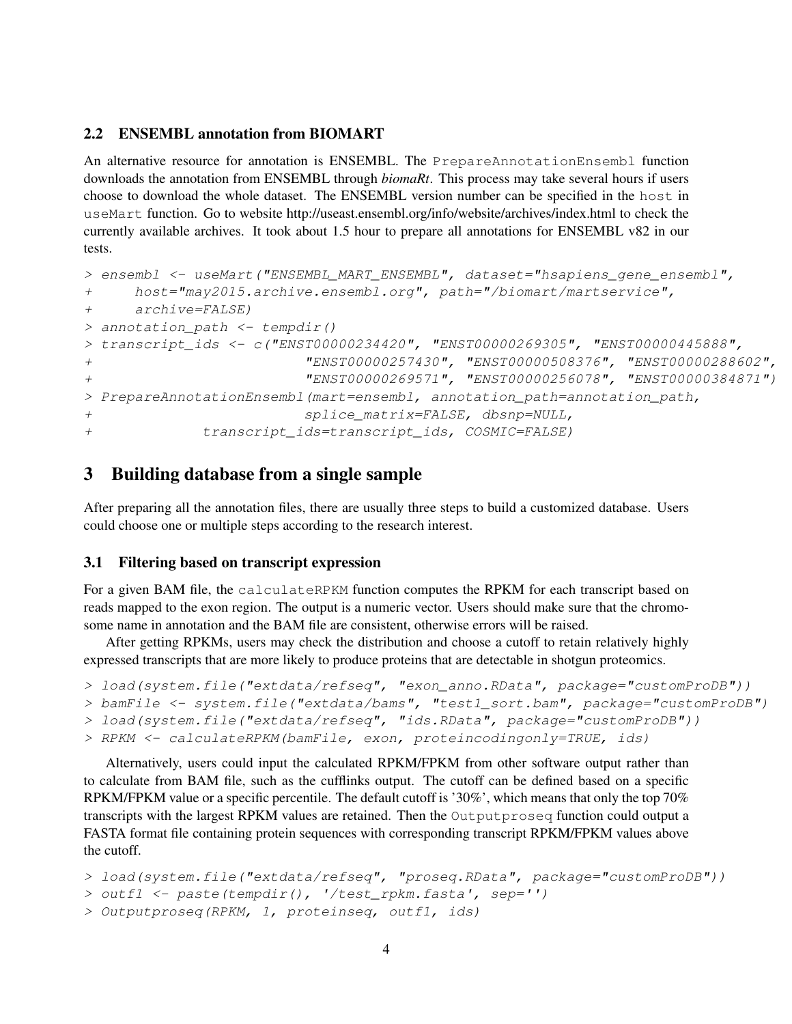### <span id="page-3-0"></span>2.2 ENSEMBL annotation from BIOMART

An alternative resource for annotation is ENSEMBL. The PrepareAnnotationEnsembl function downloads the annotation from ENSEMBL through *biomaRt*. This process may take several hours if users choose to download the whole dataset. The ENSEMBL version number can be specified in the host in useMart function. Go to website http://useast.ensembl.org/info/website/archives/index.html to check the currently available archives. It took about 1.5 hour to prepare all annotations for ENSEMBL v82 in our tests.

```
> ensembl <- useMart("ENSEMBL_MART_ENSEMBL", dataset="hsapiens_gene_ensembl",
+ host="may2015.archive.ensembl.org", path="/biomart/martservice",
+ archive=FALSE)
> annotation_path <- tempdir()
> transcript_ids <- c("ENST00000234420", "ENST00000269305", "ENST00000445888",
+ "ENST00000257430", "ENST00000508376", "ENST00000288602",
+ "ENST00000269571", "ENST00000256078", "ENST00000384871")
> PrepareAnnotationEnsembl(mart=ensembl, annotation_path=annotation_path,
+ splice_matrix=FALSE, dbsnp=NULL,
+ transcript_ids=transcript_ids, COSMIC=FALSE)
```
# <span id="page-3-1"></span>3 Building database from a single sample

After preparing all the annotation files, there are usually three steps to build a customized database. Users could choose one or multiple steps according to the research interest.

### <span id="page-3-2"></span>3.1 Filtering based on transcript expression

For a given BAM file, the calculateRPKM function computes the RPKM for each transcript based on reads mapped to the exon region. The output is a numeric vector. Users should make sure that the chromosome name in annotation and the BAM file are consistent, otherwise errors will be raised.

After getting RPKMs, users may check the distribution and choose a cutoff to retain relatively highly expressed transcripts that are more likely to produce proteins that are detectable in shotgun proteomics.

```
> load(system.file("extdata/refseq", "exon anno.RData", package="customProDB"))
```

```
> bamFile <- system.file("extdata/bams", "test1_sort.bam", package="customProDB")
```

```
> load(system.file("extdata/refseq", "ids.RData", package="customProDB"))
```

```
> RPKM <- calculateRPKM(bamFile, exon, proteincodingonly=TRUE, ids)
```
Alternatively, users could input the calculated RPKM/FPKM from other software output rather than to calculate from BAM file, such as the cufflinks output. The cutoff can be defined based on a specific RPKM/FPKM value or a specific percentile. The default cutoff is '30%', which means that only the top 70% transcripts with the largest RPKM values are retained. Then the Outputproseq function could output a FASTA format file containing protein sequences with corresponding transcript RPKM/FPKM values above the cutoff.

```
> load(system.file("extdata/refseq", "proseq.RData", package="customProDB"))
```

```
> outf1 <- paste(tempdir(), '/test_rpkm.fasta', sep='')
```

```
> Outputproseq(RPKM, 1, proteinseq, outf1, ids)
```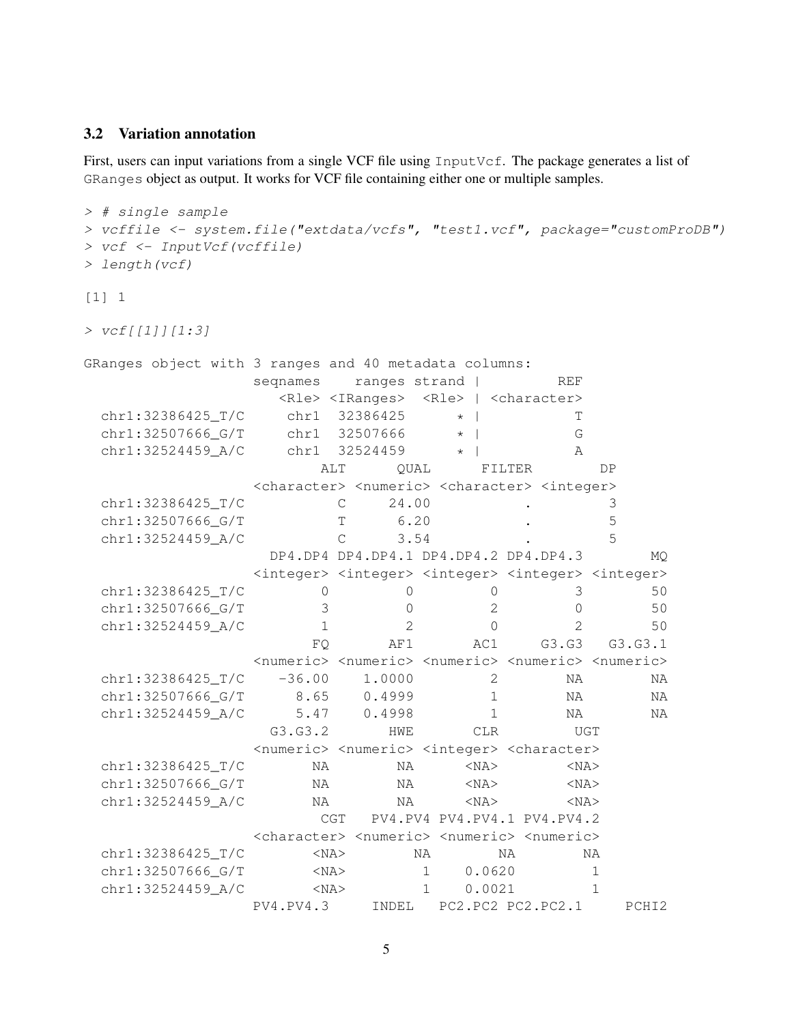### <span id="page-4-0"></span>3.2 Variation annotation

First, users can input variations from a single VCF file using InputVcf. The package generates a list of GRanges object as output. It works for VCF file containing either one or multiple samples.

```
> # single sample
> vcffile <- system.file("extdata/vcfs", "test1.vcf", package="customProDB")
> vcf <- InputVcf(vcffile)
> length(vcf)
[1] 1> vcf[[1]][1:3]GRanges object with 3 ranges and 40 metadata columns:
             seqnames ranges strand | REF
               <Rle> <IRanges> <Rle> | <character>
 chr1:32386425 T/C chr1 32386425 * | T
 chr1:32507666_G/T chr1 32507666 * | G
 chr1:32524459_A/C chr1 32524459 * | A
                   ALT QUAL FILTER DP
             <character> <numeric> <character> <integer>
 chr1:32386425_T/C C 24.00 . 3
 chr1:32507666_G/T T 6.20 . 5
 chr1:32524459_A/C C 3.54 . 5
               DP4.DP4 DP4.DP4.1 DP4.DP4.2 DP4.DP4.3 MQ
             <integer> <integer> <integer> <integer> <integer>
 chr1:32386425 T/C 0 0 0 3 50
 chr1:32507666 G/T 3 0 2 0 50
 chr1:32524459_A/C 1 2 0 2 50
                  FQ AF1 AC1 G3.G3 G3.G3.1
             <numeric> <numeric> <numeric> <numeric> <numeric>
 chr1:32386425_T/C -36.00 1.0000 2 NA NA
 chr1:32507666_G/T 8.65 0.4999 1 NA NA
 chr1:32524459_A/C 5.47 0.4998 1 NA NA
               G3.G3.2 HWE CLR UGT
             <numeric> <numeric> <integer> <character>
 chr1:32386425_T/C NA NA <NA> <NA>
 chr1:32507666_G/T NA NA <NA> <NA>
 chr1:32524459_A/C NA NA <NA> <NA>
                   CGT PV4.PV4 PV4.PV4.1 PV4.PV4.2
             <character> <numeric> <numeric> <numeric>
 chr1:32386425 T/C <NA> NA NA NA NA
 chr1:32507666_G/T <NA> 1 0.0620 1
 chr1:32524459_A/C <NA> 1 0.0021 1
             PV4.PV4.3 INDEL PC2.PC2 PC2.PC2.1 PCHI2
```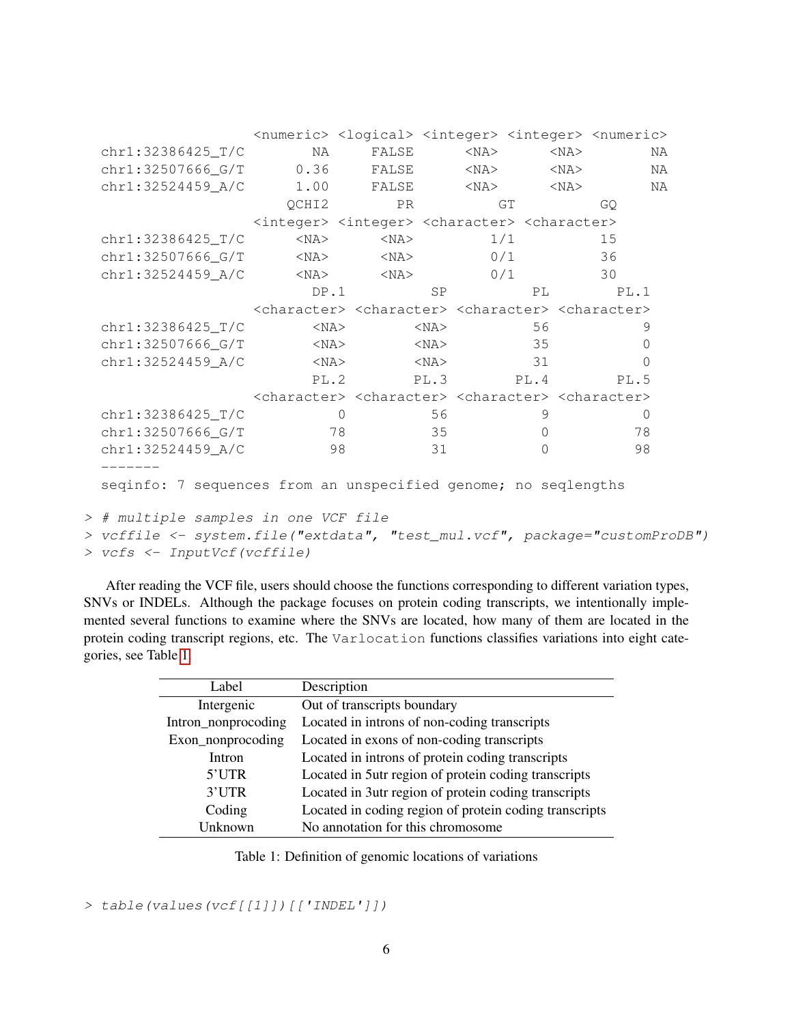|                                                                            |                                                                                                 |                |            |          | <numeric> <logical> <integer> <integer> <numeric></numeric></integer></integer></logical></numeric> |    |
|----------------------------------------------------------------------------|-------------------------------------------------------------------------------------------------|----------------|------------|----------|-----------------------------------------------------------------------------------------------------|----|
| chr1:32386425 T/C                                                          | NA                                                                                              | FALSE          | $<$ NA $>$ |          | $<$ NA $>$                                                                                          | NA |
| chr1:32507666_G/T                                                          | 0.36                                                                                            | FALSE          | $<$ NA $>$ |          | $<$ NA $>$                                                                                          | NA |
| chr1:32524459_A/C                                                          | 1.00                                                                                            | FALSE          | $<$ NA $>$ |          | $<$ NA $>$                                                                                          | ΝA |
|                                                                            | QCHI2                                                                                           | PR             |            | GT       | GO.                                                                                                 |    |
|                                                                            | <integer> <integer> <character> <character></character></character></integer></integer>         |                |            |          |                                                                                                     |    |
| chr1:32386425_T/C                                                          | $<$ NA $>$                                                                                      | $<$ NA $>$     |            | 1/1      | 15                                                                                                  |    |
| chr1:32507666_G/T                                                          | $<$ NA $>$                                                                                      | $<$ NA $>$     |            | 0/1      | 36                                                                                                  |    |
| chr1:32524459_A/C                                                          | $<$ NA $>$                                                                                      | $<$ NA $>$     |            | 0/1      | 30                                                                                                  |    |
|                                                                            | DP.1                                                                                            |                | <b>SP</b>  | PL       | PL.1                                                                                                |    |
|                                                                            | <character> <character> <character> <character></character></character></character></character> |                |            |          |                                                                                                     |    |
| chr1:32386425_T/C                                                          | $<$ NA $>$                                                                                      |                | $<$ NA $>$ | 56       | 9                                                                                                   |    |
| chr1:32507666_G/T                                                          | $<$ NA $>$                                                                                      |                | $<$ NA $>$ | 35       | $\overline{0}$                                                                                      |    |
| chr1:32524459_A/C                                                          | $<$ NA $>$                                                                                      |                | $<$ NA $>$ | 31       | $\Omega$                                                                                            |    |
|                                                                            | PL.2                                                                                            |                | PL.3       | PL.4     | PL.5                                                                                                |    |
|                                                                            | <character> <character> <character> <character></character></character></character></character> |                |            |          |                                                                                                     |    |
| chr1:32386425_T/C                                                          |                                                                                                 | $\overline{0}$ | 56         | 9        | $\overline{0}$                                                                                      |    |
| chr1:32507666_G/T                                                          |                                                                                                 | 78             | 35         | $\Omega$ | 78                                                                                                  |    |
| chr1:32524459_A/C                                                          | 98                                                                                              |                | 31         | $\Omega$ | 98                                                                                                  |    |
|                                                                            |                                                                                                 |                |            |          |                                                                                                     |    |
| seqinfo: 7 sequences from an unspecified genome; no seqlengths             |                                                                                                 |                |            |          |                                                                                                     |    |
| > # multiple samples in one VCF file                                       |                                                                                                 |                |            |          |                                                                                                     |    |
| > vcffile <- system.file("extdata", "test_mul.vcf", package="customProDB") |                                                                                                 |                |            |          |                                                                                                     |    |
| > vcfs <- InputVcf(vcffile)                                                |                                                                                                 |                |            |          |                                                                                                     |    |

After reading the VCF file, users should choose the functions corresponding to different variation types, SNVs or INDELs. Although the package focuses on protein coding transcripts, we intentionally implemented several functions to examine where the SNVs are located, how many of them are located in the protein coding transcript regions, etc. The Varlocation functions classifies variations into eight categories, see Table [1.](#page-5-0)

| Label               | Description                                            |
|---------------------|--------------------------------------------------------|
| Intergenic          | Out of transcripts boundary                            |
| Intron_nonprocoding | Located in introns of non-coding transcripts           |
| Exon_nonprocoding   | Located in exons of non-coding transcripts             |
| Intron              | Located in introns of protein coding transcripts       |
| 5'UTR               | Located in 5utr region of protein coding transcripts   |
| 3'UTR               | Located in 3utr region of protein coding transcripts   |
| Coding              | Located in coding region of protein coding transcripts |
| Unknown             | No annotation for this chromosome                      |

<span id="page-5-0"></span>Table 1: Definition of genomic locations of variations

> table(values(vcf[[1]])[['INDEL']])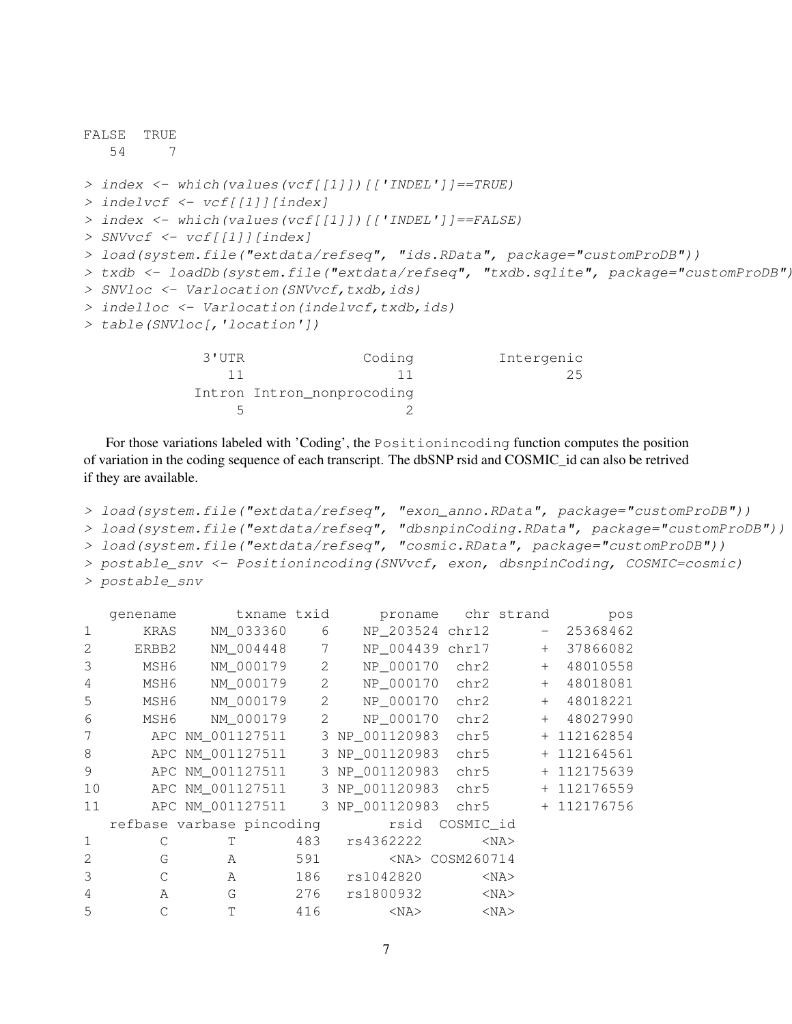```
FALSE TRUE
  54 7
> index <- which(values(vcf[[1]])[['INDEL']]==TRUE)
> indelvcf <- vcf[[1]][index]
> index <- which(values(vcf[[1]])[['INDEL']]==FALSE)
> SNVvcf <- vcf[[1]][index]
> load(system.file("extdata/refseq", "ids.RData", package="customProDB"))
> txdb <- loadDb(system.file("extdata/refseq", "txdb.sqlite", package="customProDB")
> SNVloc <- Varlocation (SNVvcf, txdb, ids)
> indelloc <- Varlocation(indelvcf, txdb, ids)
> table(SNVloc[,'location'])
            3'UTR Coding Intergenic
               11 11 25
            Intron Intron_nonprocoding
```
For those variations labeled with 'Coding', the Positionincoding function computes the position of variation in the coding sequence of each transcript. The dbSNP rsid and COSMIC\_id can also be retrived if they are available.

5 2

```
> load(system.file("extdata/refseq", "exon_anno.RData", package="customProDB"))
> load(system.file("extdata/refseq", "dbsnpinCoding.RData", package="customProDB"))
> load(system.file("extdata/refseq", "cosmic.RData", package="customProDB"))
> postable_snv <- Positionincoding(SNVvcf, exon, dbsnpinCoding, COSMIC=cosmic)
> postable_snv
```

|              | qenename    | txname txid               |     | proname         |                      | chr strand | pos         |
|--------------|-------------|---------------------------|-----|-----------------|----------------------|------------|-------------|
| $\mathbf{1}$ | <b>KRAS</b> | NM_033360                 | 6   | NP 203524 chr12 |                      | $\sim$     | 25368462    |
| 2            | ERBB2       | NM 004448                 | 7   | NP_004439 chr17 |                      | $+$        | 37866082    |
| 3            | MSH6        | NM 000179                 | 2   | NP_000170       | chr2                 | $+$        | 48010558    |
| 4            | MSH6        | NM_000179                 | 2   | NP_000170       | chr2                 | $+$        | 48018081    |
| 5            | MSH6        | NM 000179                 | 2   | NP_000170       | chr2                 | $+$        | 48018221    |
| 6            | MSH6        | NM_000179                 | 2   | NP_000170       | chr2                 | $+$        | 48027990    |
| 7            |             | APC NM_001127511          |     | 3 NP_001120983  | chr5                 |            | + 112162854 |
| 8            |             | APC NM_001127511          |     | 3 NP_001120983  | chr5                 |            | + 112164561 |
| 9            |             | APC NM_001127511          |     | 3 NP 001120983  | chr5                 |            | + 112175639 |
| 10           |             | APC NM_001127511          |     | 3 NP 001120983  | chr5                 |            | + 112176559 |
| 11           |             | APC NM 001127511          |     | 3 NP 001120983  | chr5                 |            | + 112176756 |
|              |             | refbase varbase pincoding |     | rsid            | COSMIC id            |            |             |
| $\mathbf 1$  | С           | T                         | 483 | rs4362222       |                      | $<$ NA $>$ |             |
| 2            | G           | A                         | 591 |                 | <na> COSM260714</na> |            |             |
| 3            | C           | A                         | 186 | rs1042820       |                      | $<$ NA $>$ |             |
| 4            | A           | G                         | 276 | rs1800932       |                      | $<$ NA $>$ |             |
| 5            | C           | T                         | 416 | $<$ NA $>$      |                      | $<$ NA $>$ |             |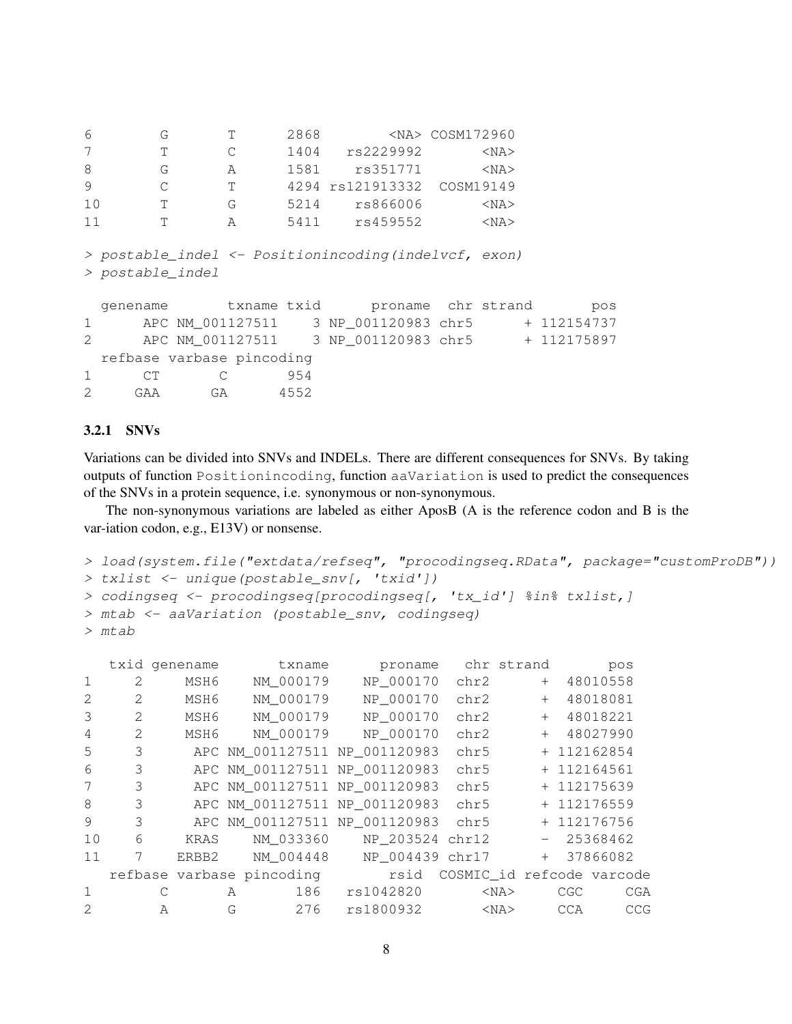| 6  | G |           | 2868 |                  | <na> COSM172960</na> |
|----|---|-----------|------|------------------|----------------------|
|    |   | $\subset$ | 1404 | rs2229992        | $<$ NA $>$           |
| 8  | G | А         | 1581 | rs351771         | $<$ NA $>$           |
| -9 |   | T.        |      | 4294 rs121913332 | COSM19149            |
| 10 |   | G         | 5214 | rs866006         | $<$ NA $>$           |
| 11 |   | А         | 5411 | rs459552         | $<$ NA $>$           |

```
> postable_indel <- Positionincoding(indelvcf, exon)
> postable_indel
```
genename txname txid proname chr strand pos 1 APC NM\_001127511 3 NP\_001120983 chr5 + 112154737 2 APC NM\_001127511 3 NP\_001120983 chr5 + 112175897 refbase varbase pincoding 1 CT C 954 2 GAA GA 4552

### <span id="page-7-0"></span>3.2.1 SNVs

Variations can be divided into SNVs and INDELs. There are different consequences for SNVs. By taking outputs of function Positionincoding, function aaVariation is used to predict the consequences of the SNVs in a protein sequence, i.e. synonymous or non-synonymous.

The non-synonymous variations are labeled as either AposB (A is the reference codon and B is the var-iation codon, e.g., E13V) or nonsense.

```
> load(system.file("extdata/refseq", "procodingseq.RData", package="customProDB"))
> txlist <- unique(postable_snv[, 'txid'])
> codingseq <- procodingseq[procodingseq[, 'tx_id'] %in% txlist,]
> mtab <- aaVariation (postable_snv, codingseq)
> mtab
```

|              |                      |              | txid genename |               | txname                        |  | proname   |                           |            | chr strand |             |          | pos |
|--------------|----------------------|--------------|---------------|---------------|-------------------------------|--|-----------|---------------------------|------------|------------|-------------|----------|-----|
| $\mathbf{1}$ | $\sum_{i=1}^{n} a_i$ |              | MSH6          |               | NM 000179                     |  | NP 000170 | chr2                      |            | $+$        |             | 48010558 |     |
| 2            | 2                    |              | MSH6          |               | NM 000179                     |  | NP_000170 | chr2                      |            | $+$        |             | 48018081 |     |
| 3            | $\mathcal{L}$        |              | MSH6          |               | NM 000179                     |  | NP_000170 | chr2                      |            | $+$        |             | 48018221 |     |
| 4            | 2                    |              | MSH6          |               | NM 000179                     |  | NP 000170 | chr2                      |            | $+$        |             | 48027990 |     |
| 5            | 3                    |              |               |               | APC NM 001127511 NP 001120983 |  |           | chr5                      |            |            | + 112162854 |          |     |
| 6            | 3                    |              |               |               | APC NM_001127511 NP_001120983 |  |           | chr5                      |            |            | + 112164561 |          |     |
| 7            | 3                    |              |               |               | APC NM 001127511 NP 001120983 |  |           | chr5                      |            |            | + 112175639 |          |     |
| 8            | 3                    |              |               |               | APC NM 001127511 NP 001120983 |  |           | chr5                      |            |            | + 112176559 |          |     |
| 9            | 3                    |              |               |               | APC NM 001127511 NP 001120983 |  |           | chr5                      |            |            | + 112176756 |          |     |
| 10           | 6                    |              | KRAS          |               | NM 033360 NP 203524 chr12     |  |           |                           |            |            | $-25368462$ |          |     |
| 11           | 7                    |              | ERBB2         |               | NM 004448                     |  |           | NP 004439 chr17           |            | $+$        |             | 37866082 |     |
|              |                      |              |               |               | refbase varbase pincoding     |  | rsid      | COSMIC_id refcode varcode |            |            |             |          |     |
| 1            |                      | С            |               | $\mathcal{A}$ | 186                           |  | rs1042820 |                           | $<$ NA $>$ |            | CGC         |          | CGA |
| 2            |                      | $\mathbb{A}$ |               | G             | 276                           |  | rs1800932 |                           | $<$ NA $>$ |            | <b>CCA</b>  |          | CCG |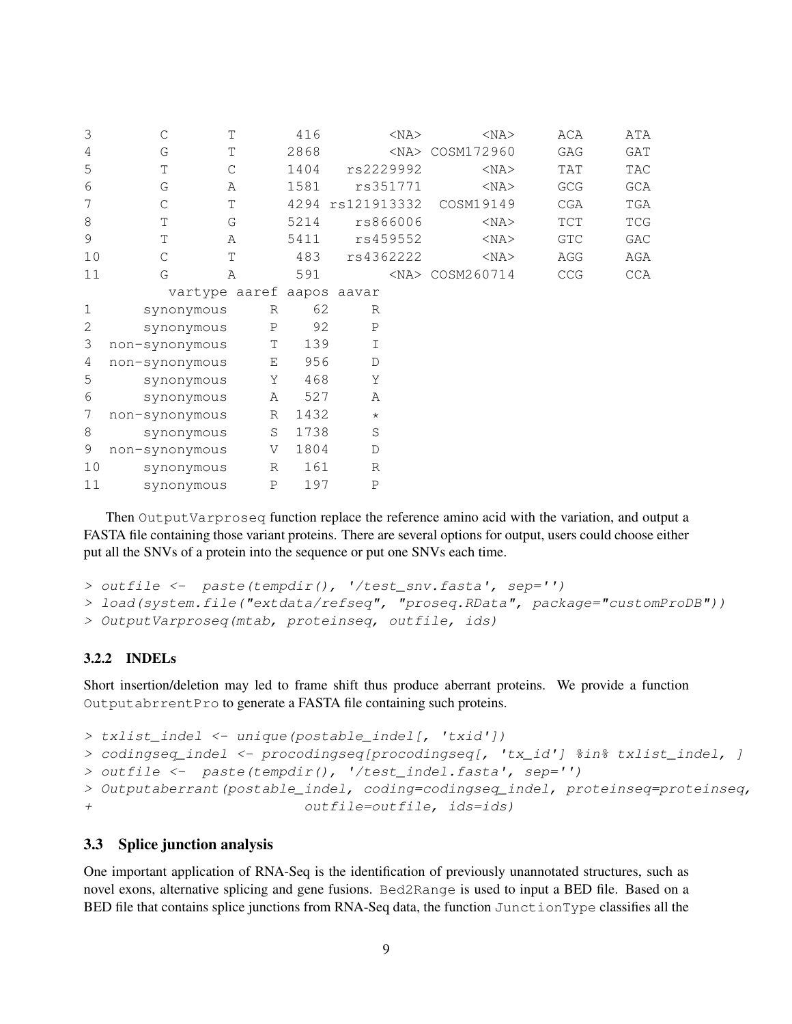| 3  | $\mathcal{C}$                | Τ           | 416  | $<$ NA $>$       | $<$ NA $>$           | ACA                              | ATA |
|----|------------------------------|-------------|------|------------------|----------------------|----------------------------------|-----|
| 4  | G                            | T           | 2868 |                  | <na> COSM172960</na> | GAG                              | GAT |
| 5  | $\mathbb T$<br>$\mathcal{C}$ |             | 1404 | rs2229992        | $<$ NA $>$           | TAT                              | TAC |
| 6  | G<br>Α                       |             | 1581 | rs351771         | $<$ NA $>$           | GCG                              | GCA |
| 7  | $\mathcal{C}$                | T           |      | 4294 rs121913332 | COSM19149            | CGA                              | TGA |
| 8  | T<br>G                       |             | 5214 | rs866006         | $<$ NA $>$           | TCT                              | TCG |
| 9  | T<br>Α                       |             | 5411 | rs459552         | $<$ NA $>$           | GTC                              | GAC |
| 10 | T<br>$\mathsf{C}$            |             | 483  | rs4362222        | $<$ NA $>$           | AGG                              | AGA |
| 11 | G<br>A                       |             | 591  |                  | <na> COSM260714</na> | $\mathbb{C}\mathbb{C}\mathbb{G}$ | CCA |
|    | vartype aaref aapos aavar    |             |      |                  |                      |                                  |     |
| 1  | synonymous                   | R           | 62   | R                |                      |                                  |     |
| 2  | synonymous                   | $\mathbf P$ | 92   | $\mathbf P$      |                      |                                  |     |
| 3  | non-synonymous               | T           | 139  | $\mathbf I$      |                      |                                  |     |
| 4  | non-synonymous               | E           | 956  | D                |                      |                                  |     |
| 5  | synonymous                   | Υ           | 468  | Y                |                      |                                  |     |
| 6  | synonymous                   | А           | 527  | Α                |                      |                                  |     |
| 7  | non-synonymous               | R           | 1432 | $\star$          |                      |                                  |     |
| 8  | synonymous                   | S           | 1738 | $\mathbf S$      |                      |                                  |     |
| 9  | non-synonymous               | V           | 1804 | $\mathbb D$      |                      |                                  |     |
| 10 | synonymous                   | $R_{\rm}$   | 161  | $\mathbb{R}$     |                      |                                  |     |
| 11 | synonymous                   | $\mathbf P$ | 197  | $\mathbf{P}$     |                      |                                  |     |

Then OutputVarproseq function replace the reference amino acid with the variation, and output a FASTA file containing those variant proteins. There are several options for output, users could choose either put all the SNVs of a protein into the sequence or put one SNVs each time.

```
> outfile <- paste(tempdir(), '/test_snv.fasta', sep='')
> load(system.file("extdata/refseq", "proseq.RData", package="customProDB"))
> OutputVarproseq(mtab, proteinseq, outfile, ids)
```
## <span id="page-8-0"></span>3.2.2 INDELs

Short insertion/deletion may led to frame shift thus produce aberrant proteins. We provide a function OutputabrrentPro to generate a FASTA file containing such proteins.

```
> txlist_indel <- unique(postable_indel[, 'txid'])
> codingseq_indel <- procodingseq[procodingseq[, 'tx_id'] %in% txlist_indel, ]
> outfile <- paste(tempdir(), '/test_indel.fasta', sep='')
> Outputaberrant(postable_indel, coding=codingseq_indel, proteinseq=proteinseq,
+ outfile=outfile, ids=ids)
```
### <span id="page-8-1"></span>3.3 Splice junction analysis

One important application of RNA-Seq is the identification of previously unannotated structures, such as novel exons, alternative splicing and gene fusions. Bed2Range is used to input a BED file. Based on a BED file that contains splice junctions from RNA-Seq data, the function JunctionType classifies all the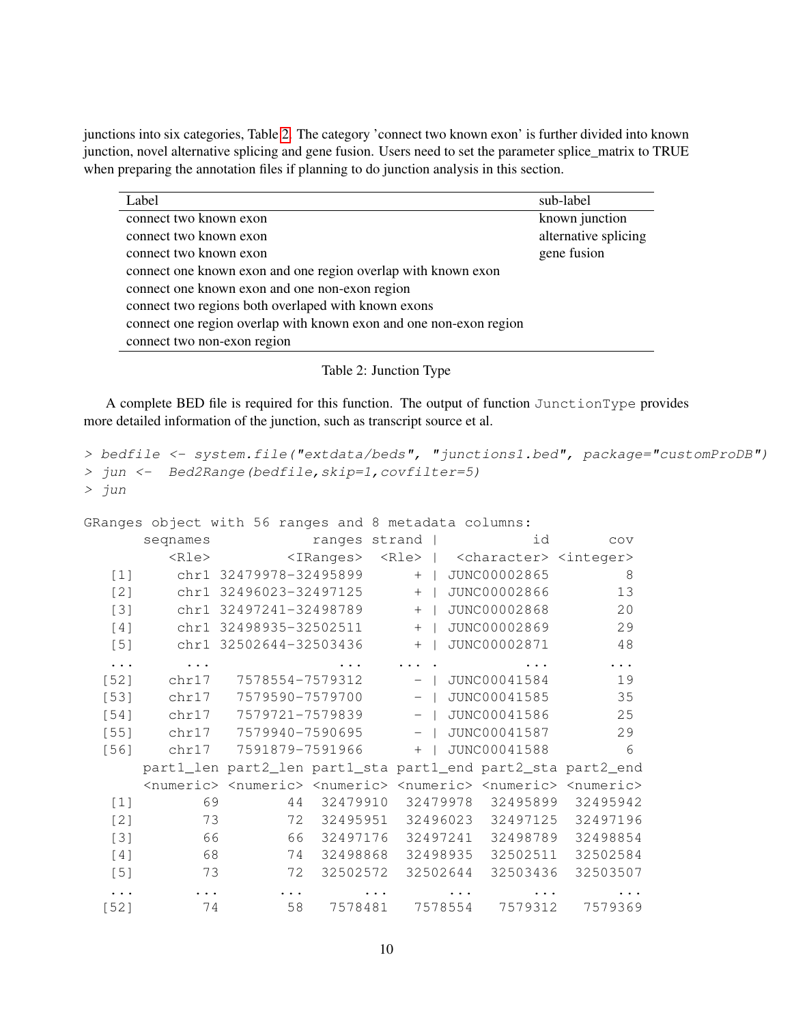junctions into six categories, Table [2.](#page-9-0) The category 'connect two known exon' is further divided into known junction, novel alternative splicing and gene fusion. Users need to set the parameter splice\_matrix to TRUE when preparing the annotation files if planning to do junction analysis in this section.

| Label                                                              | sub-label            |
|--------------------------------------------------------------------|----------------------|
| connect two known exon                                             | known junction       |
| connect two known exon                                             | alternative splicing |
| connect two known exon                                             | gene fusion          |
| connect one known exon and one region overlap with known exon      |                      |
| connect one known exon and one non-exon region                     |                      |
| connect two regions both overlaped with known exons                |                      |
| connect one region overlap with known exon and one non-exon region |                      |
| connect two non-exon region                                        |                      |

<span id="page-9-0"></span>Table 2: Junction Type

A complete BED file is required for this function. The output of function JunctionType provides more detailed information of the junction, such as transcript source et al.

```
> bedfile <- system.file("extdata/beds", "junctions1.bed", package="customProDB")
> jun <- Bed2Range(bedfile,skip=1,covfilter=5)
> jun
```
GRanges object with 56 ranges and 8 metadata columns:

|        | seqnames    |                                                                                                                         |              | ranges strand |          |          | id                                                        |          | COV     |
|--------|-------------|-------------------------------------------------------------------------------------------------------------------------|--------------|---------------|----------|----------|-----------------------------------------------------------|----------|---------|
|        | <rle></rle> |                                                                                                                         | $<$ IRanges> |               |          |          | <rle>   <character> <integer></integer></character></rle> |          |         |
| $[1]$  |             | chr1 32479978-32495899                                                                                                  |              | $+$           |          |          | JUNC00002865                                              |          | 8       |
| [2]    |             | chr1 32496023-32497125                                                                                                  |              | $+$           |          |          | JUNC00002866                                              |          | 13      |
| $[3]$  |             | chr1 32497241-32498789                                                                                                  |              | $+$           |          |          | JUNC00002868                                              |          | 20      |
| [4]    |             | chr1 32498935-32502511                                                                                                  |              | $+$           |          |          | JUNC00002869                                              |          | 29      |
| $[5]$  |             | chr1 32502644-32503436                                                                                                  |              | $+$           |          |          | JUNC00002871                                              |          | 48      |
| .      |             |                                                                                                                         |              |               |          |          |                                                           |          |         |
| $[52]$ | chr17       | 7578554-7579312                                                                                                         |              |               | $ \vert$ |          | JUNC00041584                                              |          | 19      |
| $[53]$ | chr17       | 7579590-7579700                                                                                                         |              | $ \vert$      |          |          | JUNC00041585                                              |          | 35      |
| $[54]$ | chr17       | 7579721-7579839                                                                                                         |              | $-$ 1         |          |          | JUNC00041586                                              |          | 25      |
| $[55]$ | chr17       | 7579940-7590695                                                                                                         |              | $-$           |          |          | JUNC00041587                                              |          | 29      |
| $[56]$ | chr17       | 7591879-7591966                                                                                                         |              | $+$           |          |          | JUNC00041588                                              |          | 6       |
|        |             | part1_len part2_len part1_sta part1_end part2_sta part2_end                                                             |              |               |          |          |                                                           |          |         |
|        |             | <numeric> <numeric> <numeric> <numeric> <numeric> <numeric></numeric></numeric></numeric></numeric></numeric></numeric> |              |               |          |          |                                                           |          |         |
| $[1]$  | 69          | 44                                                                                                                      | 32479910     | 32479978      |          |          | 32495899                                                  | 32495942 |         |
| [2]    | 73          | 72                                                                                                                      | 32495951     |               |          | 32496023 | 32497125                                                  | 32497196 |         |
| $[3]$  | 66          | 66                                                                                                                      | 32497176     |               |          | 32497241 | 32498789                                                  | 32498854 |         |
| [4]    | 68          | 74                                                                                                                      | 32498868     |               |          | 32498935 | 32502511                                                  | 32502584 |         |
| $[5]$  | 73          | 72                                                                                                                      | 32502572     |               |          | 32502644 | 32503436                                                  | 32503507 |         |
|        |             | $\cdots$                                                                                                                |              |               |          |          |                                                           |          |         |
| [52]   | 74          | 58                                                                                                                      |              | 7578481       |          | 7578554  | 7579312                                                   |          | 7579369 |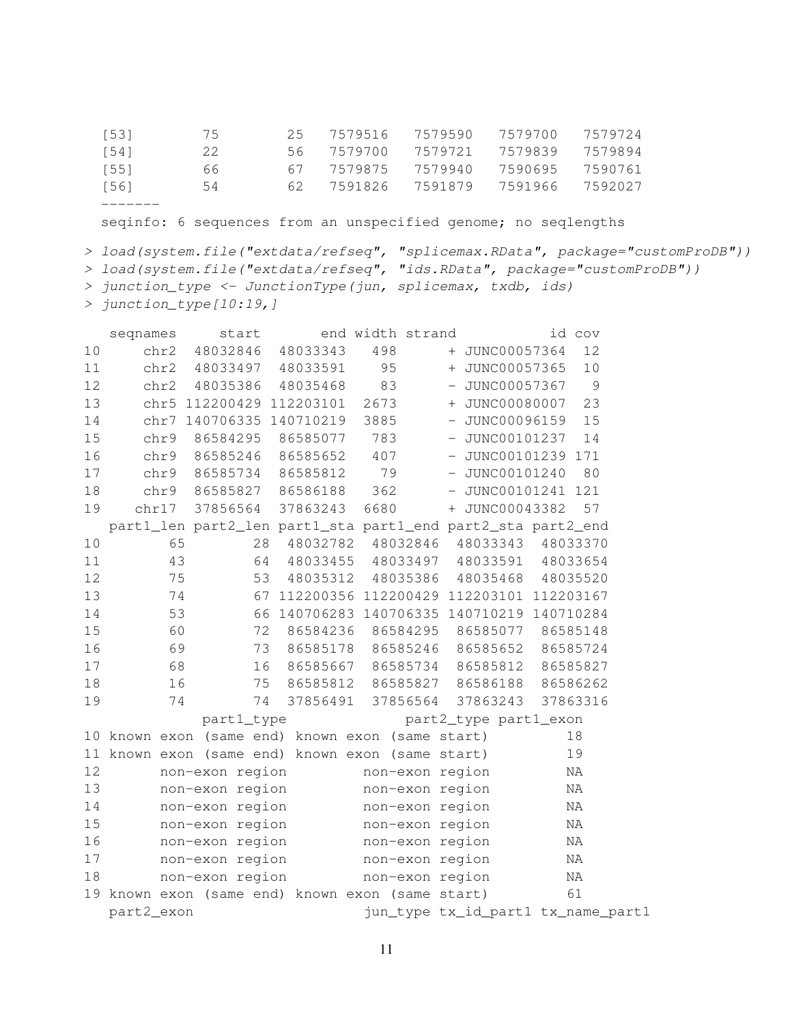| [56] | 54  | 62. | 7591826 | 7591879 | 7591966 | 7592027 |
|------|-----|-----|---------|---------|---------|---------|
| [55] | 66  | 67  | 7579875 | 7579940 | 7590695 | 7590761 |
| [54] | 22. | 56. | 7579700 | 7579721 | 7579839 | 7579894 |
| [53] | 75  | 25. | 7579516 | 7579590 | 7579700 | 7579724 |

seqinfo: 6 sequences from an unspecified genome; no seqlengths

```
> load(system.file("extdata/refseq", "splicemax.RData", package="customProDB"))
```
> load(system.file("extdata/refseq", "ids.RData", package="customProDB"))

- > junction\_type <- JunctionType(jun, splicemax, txdb, ids)
- > junction\_type[10:19,]

|    | seqnames   | start                                                       |                                         | end width strand |                 |                                     | id cov                             |
|----|------------|-------------------------------------------------------------|-----------------------------------------|------------------|-----------------|-------------------------------------|------------------------------------|
| 10 | chr2       | 48032846 48033343                                           |                                         | 498              |                 | + JUNC00057364                      | 12                                 |
| 11 |            | chr2 48033497 48033591                                      |                                         | 95               |                 | + JUNC00057365                      | 10                                 |
| 12 | chr2       | 48035386 48035468                                           |                                         | 83               |                 | - JUNC00057367                      | $\overline{9}$                     |
| 13 |            | chr5 112200429 112203101 2673                               |                                         |                  |                 | + JUNC00080007                      | 23                                 |
| 14 |            | chr7 140706335 140710219 3885                               |                                         |                  |                 | - JUNC00096159                      | 15                                 |
| 15 | chr9       |                                                             | 86584295 86585077                       | 783              |                 | - JUNC00101237                      | 14                                 |
| 16 |            | chr9 86585246 86585652                                      |                                         | 407              |                 | - JUNC00101239 171                  |                                    |
| 17 | chr9       | 86585734                                                    | 86585812                                | 79               |                 | $-$ JUNC00101240                    | 80                                 |
| 18 |            | chr9 86585827 86586188                                      |                                         | 362              |                 | - JUNC00101241 121                  |                                    |
| 19 | chr17      | 37856564                                                    | 37863243                                | 6680             |                 | + JUNC00043382                      | 57                                 |
|    |            | part1_len part2_len part1_sta part1_end part2_sta part2_end |                                         |                  |                 |                                     |                                    |
| 10 | 65         |                                                             | 28 48032782 48032846 48033343 48033370  |                  |                 |                                     |                                    |
| 11 | 43         |                                                             | 64 48033455 48033497 48033591 48033654  |                  |                 |                                     |                                    |
| 12 | 75         | 53                                                          |                                         |                  |                 | 48035312 48035386 48035468 48035520 |                                    |
| 13 | 74         | 67                                                          | 112200356 112200429 112203101 112203167 |                  |                 |                                     |                                    |
| 14 | 53         | 66                                                          | 140706283 140706335 140710219 140710284 |                  |                 |                                     |                                    |
| 15 | 60         | 72                                                          |                                         |                  |                 | 86584236 86584295 86585077 86585148 |                                    |
| 16 | 69         | 73                                                          | 86585178 86585246 86585652 86585724     |                  |                 |                                     |                                    |
| 17 | 68         | 16                                                          |                                         |                  |                 | 86585667 86585734 86585812 86585827 |                                    |
| 18 | 16         |                                                             | 75 86585812 86585827 86586188 86586262  |                  |                 |                                     |                                    |
| 19 | 74         |                                                             | 37856491 37856564<br>74                 |                  |                 | 37863243 37863316                   |                                    |
|    |            | part1_type                                                  |                                         |                  |                 | part2_type part1_exon               |                                    |
|    |            | 10 known exon (same end) known exon (same start)            |                                         |                  |                 |                                     | 18                                 |
|    |            | 11 known exon (same end) known exon (same start)            |                                         |                  |                 |                                     | 19                                 |
| 12 |            | non-exon region mon-exon region                             |                                         |                  |                 |                                     | $\rm NA$                           |
| 13 |            | non-exon region                                             |                                         | non-exon region  |                 |                                     | NA                                 |
| 14 |            | non-exon region                                             |                                         | non-exon region  |                 |                                     | NA                                 |
| 15 |            | non-exon region                                             |                                         | non-exon region  |                 |                                     | ΝA                                 |
| 16 |            | non-exon region                                             |                                         | non-exon region  |                 |                                     | $\rm NA$                           |
| 17 |            | non-exon region mon-exon region                             |                                         |                  |                 |                                     | $\rm NA$                           |
| 18 |            | non-exon region                                             |                                         |                  | non-exon region |                                     | ΝA                                 |
| 19 |            | known exon (same end) known exon (same start)               |                                         |                  |                 |                                     | 61                                 |
|    | part2 exon |                                                             |                                         |                  |                 |                                     | jun_type tx_id_part1 tx_name_part1 |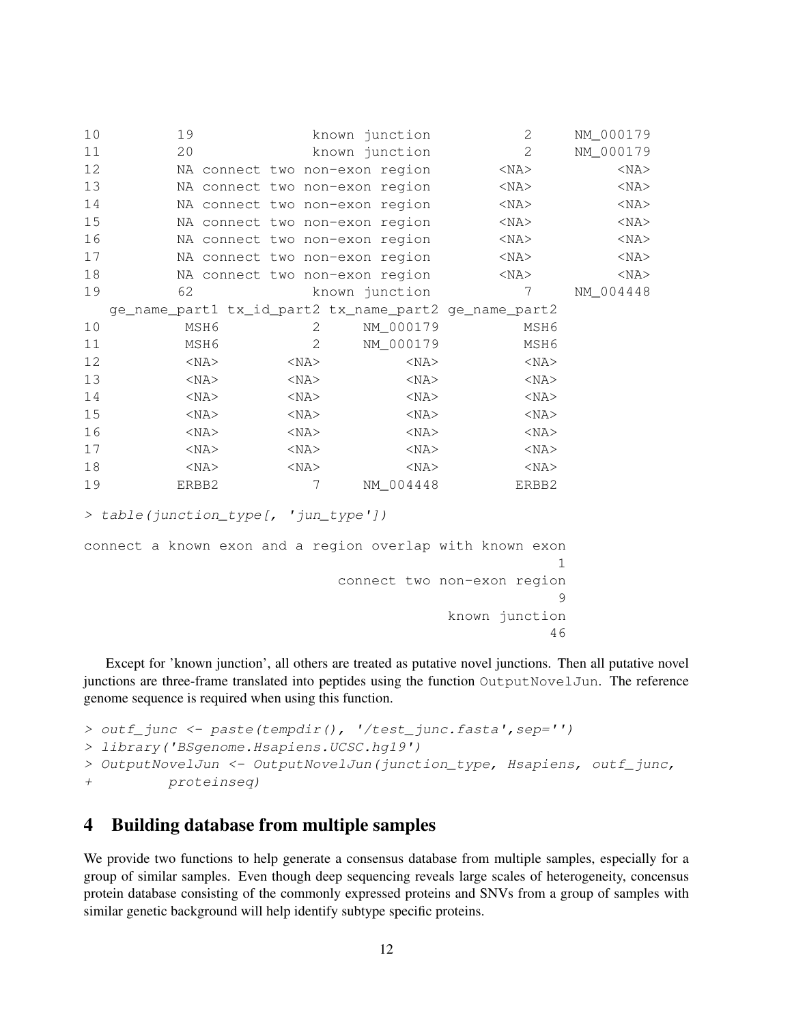| 10 | 19                                                    |            | known junction                 | 2          | NM_000179  |
|----|-------------------------------------------------------|------------|--------------------------------|------------|------------|
| 11 | 20                                                    |            | known junction                 | 2          | NM_000179  |
| 12 |                                                       |            | NA connect two non-exon region | $<$ NA $>$ | $<$ NA $>$ |
| 13 |                                                       |            | NA connect two non-exon region | $<$ NA $>$ | $<$ NA $>$ |
| 14 |                                                       |            | NA connect two non-exon region | $<$ NA $>$ | $<$ NA $>$ |
| 15 |                                                       |            | NA connect two non-exon region | $<$ NA $>$ | $<$ NA $>$ |
| 16 |                                                       |            | NA connect two non-exon region | $<$ NA $>$ | $<$ NA $>$ |
| 17 |                                                       |            | NA connect two non-exon region | $<$ NA $>$ | $<$ NA $>$ |
| 18 |                                                       |            | NA connect two non-exon region | $<$ NA $>$ | $<$ NA $>$ |
| 19 | 62                                                    |            | known junction                 | 7          | NM_004448  |
|    | ge_name_part1 tx_id_part2 tx_name_part2 ge_name_part2 |            |                                |            |            |
| 10 | MSH6                                                  | 2          | NM_000179                      | MSH6       |            |
| 11 | MSH6                                                  | 2          | NM_000179                      | MSH6       |            |
| 12 | $<$ NA $>$                                            | $<$ NA $>$ | $<$ NA $>$                     | $<$ NA $>$ |            |
| 13 | $<$ NA $>$                                            | $<$ NA $>$ | $<$ NA $>$                     | $<$ NA $>$ |            |
| 14 | $<$ NA $>$                                            | $<$ NA $>$ | $<$ NA $>$                     | $<$ NA $>$ |            |
| 15 | $<$ NA $>$                                            | $<$ NA $>$ | $<$ NA $>$                     | $<$ NA $>$ |            |
| 16 | $<$ NA $>$                                            | $<$ NA $>$ | $<$ NA $>$                     | $<$ NA $>$ |            |
| 17 | $<$ NA $>$                                            | $<$ NA $>$ | $<$ NA $>$                     | $<$ NA $>$ |            |
| 18 | $<$ NA $>$                                            | $<$ NA $>$ | $<$ NA $>$                     | $<$ NA $>$ |            |
| 19 | ERBB2                                                 | 7          | NM_004448                      | ERBB2      |            |
|    |                                                       |            |                                |            |            |

```
> table(junction_type[, 'jun_type'])
```

```
connect a known exon and a region overlap with known exon
                                                          1
                               connect two non-exon region
                                                          9
                                            known junction
                                                         46
```
Except for 'known junction', all others are treated as putative novel junctions. Then all putative novel junctions are three-frame translated into peptides using the function OutputNovelJun. The reference genome sequence is required when using this function.

```
> outf_junc <- paste(tempdir(), '/test_junc.fasta',sep='')
> library('BSgenome.Hsapiens.UCSC.hg19')
> OutputNovelJun <- OutputNovelJun(junction_type, Hsapiens, outf_junc,
+ proteinseq)
```
# <span id="page-11-0"></span>4 Building database from multiple samples

We provide two functions to help generate a consensus database from multiple samples, especially for a group of similar samples. Even though deep sequencing reveals large scales of heterogeneity, concensus protein database consisting of the commonly expressed proteins and SNVs from a group of samples with similar genetic background will help identify subtype specific proteins.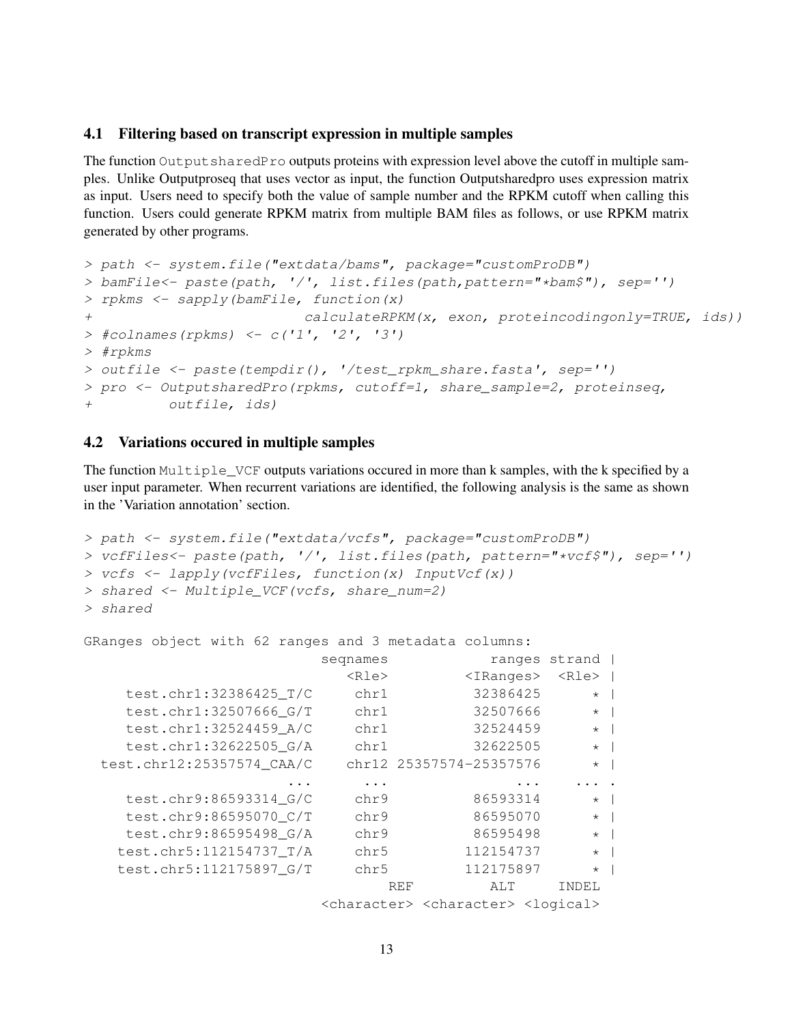### <span id="page-12-0"></span>4.1 Filtering based on transcript expression in multiple samples

The function Output sharedPro outputs proteins with expression level above the cutoff in multiple samples. Unlike Outputproseq that uses vector as input, the function Outputsharedpro uses expression matrix as input. Users need to specify both the value of sample number and the RPKM cutoff when calling this function. Users could generate RPKM matrix from multiple BAM files as follows, or use RPKM matrix generated by other programs.

```
> path <- system.file("extdata/bams", package="customProDB")
> bamFile<- paste(path, '/', list.files(path,pattern="*bam$"), sep='')
> rpkms <- sapply(bamFile, function(x)
+ calculateRPKM(x, exon, proteincodingonly=TRUE, ids))
> #colnames(rpkms) <- c('1', '2', '3')
> #rpkms
> outfile <- paste(tempdir(), '/test_rpkm_share.fasta', sep='')
> pro <- OutputsharedPro(rpkms, cutoff=1, share_sample=2, proteinseq,
+ outfile, ids)
```
#### <span id="page-12-1"></span>4.2 Variations occured in multiple samples

The function Multiple\_VCF outputs variations occured in more than k samples, with the k specified by a user input parameter. When recurrent variations are identified, the following analysis is the same as shown in the 'Variation annotation' section.

```
> path <- system.file("extdata/vcfs", package="customProDB")
> vcfFiles<- paste(path, '/', list.files(path, pattern="*vcf$"), sep='')
> vcfs <- lapply(vcfFiles, function(x) InputVcf(x))
> shared <- Multiple_VCF(vcfs, share_num=2)
> shared
```
GRanges object with 62 ranges and 3 metadata columns:

|         | ranges strand |                                                                     | seqnames    |                           |
|---------|---------------|---------------------------------------------------------------------|-------------|---------------------------|
|         | <rle></rle>   | $<$ IRanges>                                                        | $<$ Rle $>$ |                           |
|         | $\star$       | 32386425                                                            | chr1        | test.chr1:32386425_T/C    |
|         | $\star$       | 32507666                                                            | chr1        | test.chr1:32507666 G/T    |
|         | $\star$       | 32524459                                                            | chr1        | test.chr1:32524459 A/C    |
| $\star$ |               | 32622505                                                            | chr1        | test.chr1:32622505 G/A    |
|         | $\star$       | chr12 25357574-25357576                                             |             | test.chr12:25357574 CAA/C |
|         |               |                                                                     |             |                           |
| $\star$ |               | 86593314                                                            | chr9        | test.chr9:86593314_G/C    |
| $\star$ |               | 86595070                                                            | chr9        | test.chr9:86595070_C/T    |
|         | $\star$       | 86595498                                                            | chr9        | test.chr9:86595498 G/A    |
|         | $\star$       | 112154737                                                           | chr5        | test.chr5:112154737 T/A   |
|         | $\star$       | 112175897                                                           | chr5        | test.chr5:112175897 G/T   |
|         | INDEL         | ALT                                                                 | <b>REF</b>  |                           |
|         |               | <character> <character> <logical></logical></character></character> |             |                           |
|         |               |                                                                     |             |                           |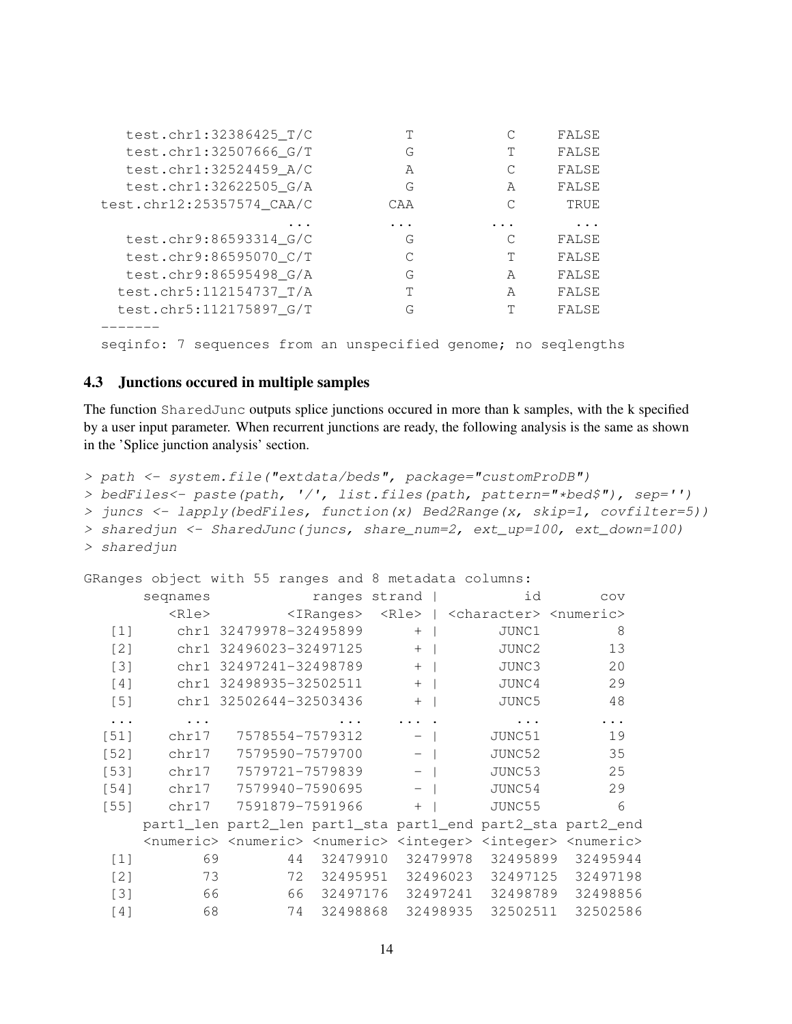| test.chr1:32386425_T/C                                               |     |   | FALSE |
|----------------------------------------------------------------------|-----|---|-------|
| test.chr1:32507666_G/T                                               | G   | T | FALSE |
| test.chr1:32524459 A/C                                               | A   | С | FALSE |
| test.chr1:32622505 G/A                                               | G   | A | FALSE |
| test.chr12:25357574 CAA/C                                            | CAA |   | TRUE  |
|                                                                      |     |   | .     |
| test.chr9:86593314_G/C                                               | G   |   | FALSE |
| test.chr9:86595070 C/T                                               | С   | т | FALSE |
| test.chr9:86595498 G/A                                               | G   | A | FALSE |
| test.chr5:112154737_T/A                                              | T   | A | FALSE |
| test.chr5:112175897_G/T                                              | G   | T | FALSE |
|                                                                      |     |   |       |
| sequences from an unspecified genome; no seqlengths<br>7<br>seginfo: |     |   |       |

#### <span id="page-13-0"></span>4.3 Junctions occured in multiple samples

The function SharedJunc outputs splice junctions occured in more than k samples, with the k specified by a user input parameter. When recurrent junctions are ready, the following analysis is the same as shown in the 'Splice junction analysis' section.

```
> path <- system.file("extdata/beds", package="customProDB")
```

```
> bedFiles<- paste(path, '/', list.files(path, pattern="*bed$"), sep='')
```

```
> juncs <- lapply(bedFiles, function(x) Bed2Range(x, skip=1, covfilter=5))
```

```
> sharedjun <- SharedJunc(juncs, share_num=2, ext_up=100, ext_down=100)
```

```
> sharedjun
```
GRanges object with 55 ranges and 8 metadata columns:

|            | seqnames    |                                                                                                                         |              | ranges strand            |          | id       | COV                                         |   |
|------------|-------------|-------------------------------------------------------------------------------------------------------------------------|--------------|--------------------------|----------|----------|---------------------------------------------|---|
|            | $<$ Rle $>$ |                                                                                                                         | $<$ IRanges> | $\langle$ Rle>           |          |          | <character> <numeric></numeric></character> |   |
| $[1]$      |             | chr1 32479978-32495899                                                                                                  |              | $+$                      |          | JUNC1    | 8                                           |   |
| [2]        |             | chr1 32496023-32497125                                                                                                  |              | $+$                      |          | JUNC2    | 13                                          |   |
| $[3]$      |             | chr1 32497241-32498789                                                                                                  |              | $+$                      |          | JUNC3    | 20                                          |   |
| [4]        |             | chr1 32498935-32502511                                                                                                  |              | $+$                      |          | JUNC4    | 29                                          |   |
| $[5]$      |             | chr1 32502644-32503436                                                                                                  |              | $+$                      |          | JUNC5    | 48                                          |   |
| $\ddots$ . |             |                                                                                                                         |              |                          |          |          |                                             |   |
| $[51]$     | chr17       | 7578554-7579312                                                                                                         |              | $\overline{\phantom{0}}$ |          | JUNC51   | 19                                          |   |
| $[52]$     | chr17       | 7579590-7579700                                                                                                         |              | $ \vert$                 |          | JUNC52   | 35                                          |   |
| [53]       | chr17       | 7579721-7579839                                                                                                         |              | $ \vert$                 |          | JUNC53   | 25                                          |   |
| $[54]$     | chr17       | 7579940-7590695                                                                                                         |              | $-$ 1                    |          | JUNC54   | 29                                          |   |
| $[55]$     | chr17       | 7591879-7591966                                                                                                         |              | $+$                      |          | JUNC55   |                                             | 6 |
|            |             | part1_len part2_len part1_sta part1_end part2_sta part2_end                                                             |              |                          |          |          |                                             |   |
|            |             | <numeric> <numeric> <numeric> <integer> <integer> <numeric></numeric></integer></integer></numeric></numeric></numeric> |              |                          |          |          |                                             |   |
| $[1]$      | 69          | 44                                                                                                                      | 32479910     |                          | 32479978 | 32495899 | 32495944                                    |   |
| [2]        | 73          | 72                                                                                                                      | 32495951     |                          | 32496023 | 32497125 | 32497198                                    |   |
| $[3]$      | 66          |                                                                                                                         | 66 32497176  |                          | 32497241 | 32498789 | 32498856                                    |   |
| [4]        | 68          | 74                                                                                                                      | 32498868     |                          | 32498935 | 32502511 | 32502586                                    |   |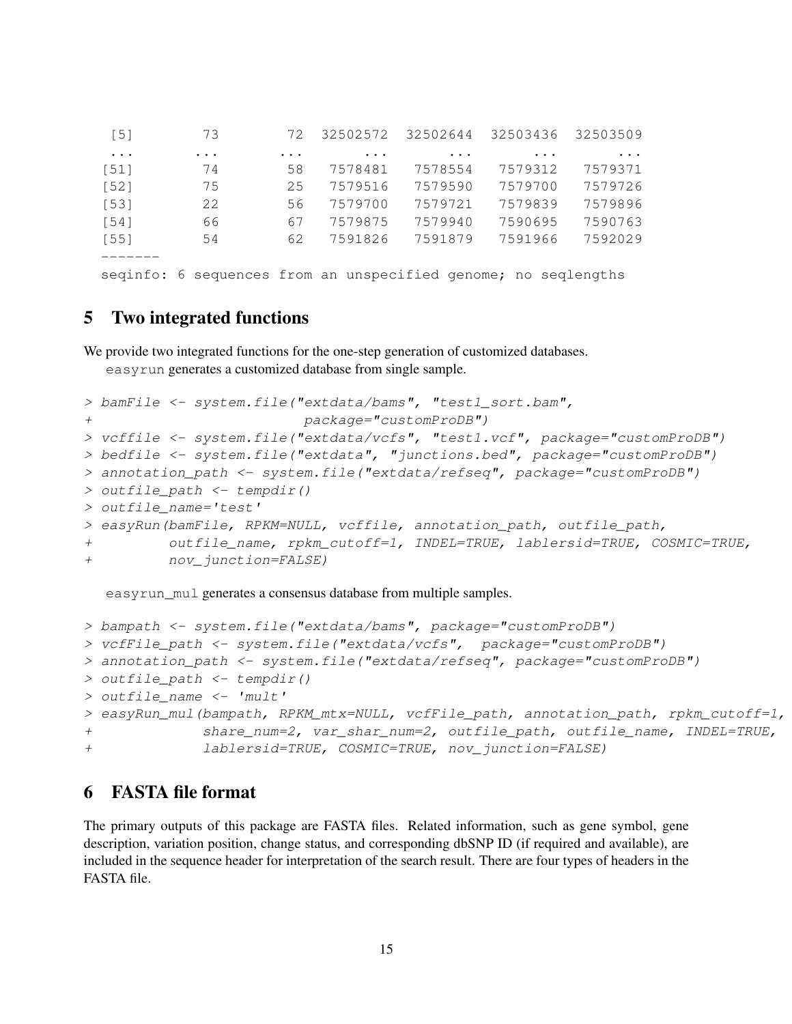| $[5]$     | 73                                                             | 72       | 32502572 | 32502644 | 32503436 | 32503509 |
|-----------|----------------------------------------------------------------|----------|----------|----------|----------|----------|
| $\ddotsc$ | $\cdots$                                                       | $\cdots$ | $\cdots$ | $\cdots$ | $\cdots$ | $\cdots$ |
| $[51]$    | 74                                                             | 58       | 7578481  | 7578554  | 7579312  | 7579371  |
| [52]      | 75                                                             | 25       | 7579516  | 7579590  | 7579700  | 7579726  |
| [53]      | 22                                                             | 56       | 7579700  | 7579721  | 7579839  | 7579896  |
| $[54]$    | 66                                                             | 67       | 7579875  | 7579940  | 7590695  | 7590763  |
| $[55]$    | 54                                                             | 62       | 7591826  | 7591879  | 7591966  | 7592029  |
|           |                                                                |          |          |          |          |          |
|           | seginfo: 6 sequences from an unspecified genome; no seglengths |          |          |          |          |          |

# <span id="page-14-0"></span>5 Two integrated functions

We provide two integrated functions for the one-step generation of customized databases. easyrun generates a customized database from single sample.

```
> bamFile <- system.file("extdata/bams", "test1_sort.bam",
+ package="customProDB")
> vcffile <- system.file("extdata/vcfs", "test1.vcf", package="customProDB")
> bedfile <- system.file("extdata", "junctions.bed", package="customProDB")
> annotation_path <- system.file("extdata/refseq", package="customProDB")
> outfile_path <- tempdir()
> outfile_name='test'
> easyRun(bamFile, RPKM=NULL, vcffile, annotation_path, outfile_path,
+ outfile_name, rpkm_cutoff=1, INDEL=TRUE, lablersid=TRUE, COSMIC=TRUE,
+ nov_junction=FALSE)
```
easyrun\_mul generates a consensus database from multiple samples.

```
> bampath <- system.file("extdata/bams", package="customProDB")
> vcfFile_path <- system.file("extdata/vcfs", package="customProDB")
> annotation_path <- system.file("extdata/refseq", package="customProDB")
> outfile_path <- tempdir()
> outfile_name <- 'mult'
> easyRun_mul(bampath, RPKM_mtx=NULL, vcfFile_path, annotation_path, rpkm_cutoff=1,
+ share_num=2, var_shar_num=2, outfile_path, outfile_name, INDEL=TRUE,
+ lablersid=TRUE, COSMIC=TRUE, nov_junction=FALSE)
```
# <span id="page-14-1"></span>6 FASTA file format

The primary outputs of this package are FASTA files. Related information, such as gene symbol, gene description, variation position, change status, and corresponding dbSNP ID (if required and available), are included in the sequence header for interpretation of the search result. There are four types of headers in the FASTA file.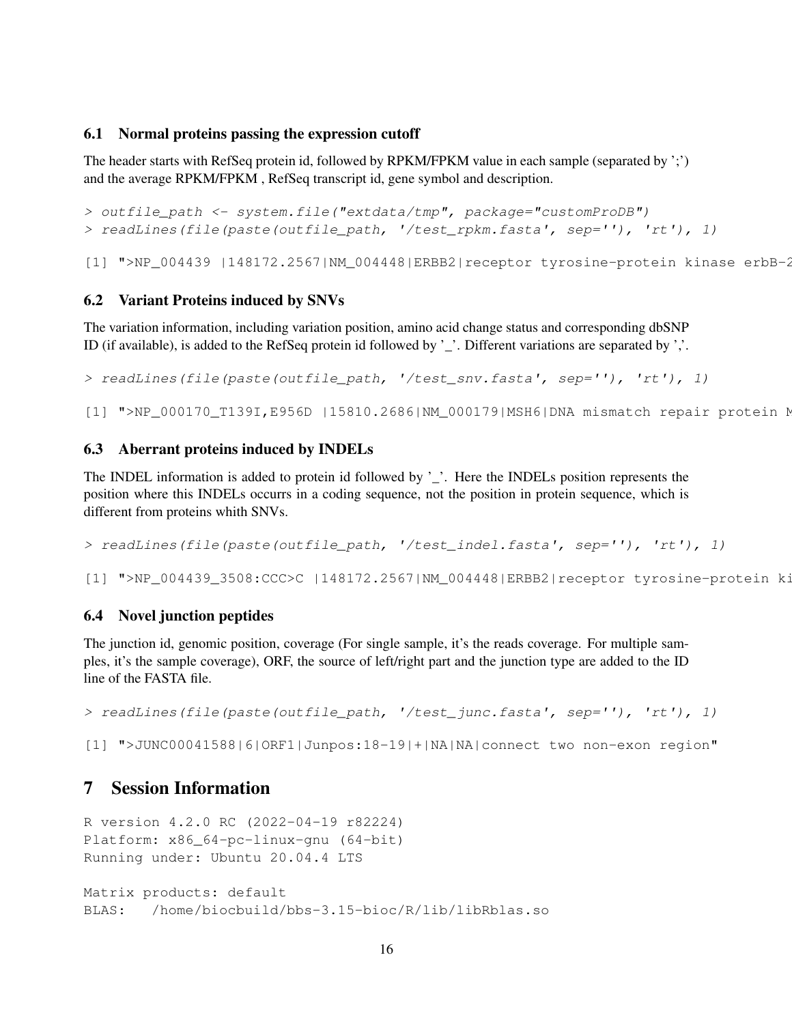### <span id="page-15-0"></span>6.1 Normal proteins passing the expression cutoff

The header starts with RefSeq protein id, followed by RPKM/FPKM value in each sample (separated by ';') and the average RPKM/FPKM , RefSeq transcript id, gene symbol and description.

> outfile\_path <- system.file("extdata/tmp", package="customProDB") > readLines(file(paste(outfile\_path, '/test\_rpkm.fasta', sep=''), 'rt'), 1)

[1] ">NP\_004439 |148172.2567|NM\_004448|ERBB2|receptor tyrosine-protein kinase erbB-2

## <span id="page-15-1"></span>6.2 Variant Proteins induced by SNVs

The variation information, including variation position, amino acid change status and corresponding dbSNP ID (if available), is added to the RefSeq protein id followed by '\_'. Different variations are separated by ','.

> readLines(file(paste(outfile\_path, '/test\_snv.fasta', sep=''), 'rt'), 1)

[1] ">NP\_000170\_T139I,E956D |15810.2686|NM\_000179|MSH6|DNA mismatch repair protein N

## <span id="page-15-2"></span>6.3 Aberrant proteins induced by INDELs

The INDEL information is added to protein id followed by '\_'. Here the INDELs position represents the position where this INDELs occurrs in a coding sequence, not the position in protein sequence, which is different from proteins whith SNVs.

> readLines(file(paste(outfile\_path, '/test\_indel.fasta', sep=''), 'rt'), 1)

[1] ">NP\_004439\_3508:CCC>C |148172.2567|NM\_004448|ERBB2|receptor tyrosine-protein ki

## <span id="page-15-3"></span>6.4 Novel junction peptides

The junction id, genomic position, coverage (For single sample, it's the reads coverage. For multiple samples, it's the sample coverage), ORF, the source of left/right part and the junction type are added to the ID line of the FASTA file.

> readLines(file(paste(outfile\_path, '/test\_junc.fasta', sep=''), 'rt'), 1)

[1] ">JUNC00041588|6|ORF1|Junpos:18-19|+|NA|NA|connect two non-exon region"

# <span id="page-15-4"></span>7 Session Information

R version 4.2.0 RC (2022-04-19 r82224) Platform: x86\_64-pc-linux-gnu (64-bit) Running under: Ubuntu 20.04.4 LTS Matrix products: default BLAS: /home/biocbuild/bbs-3.15-bioc/R/lib/libRblas.so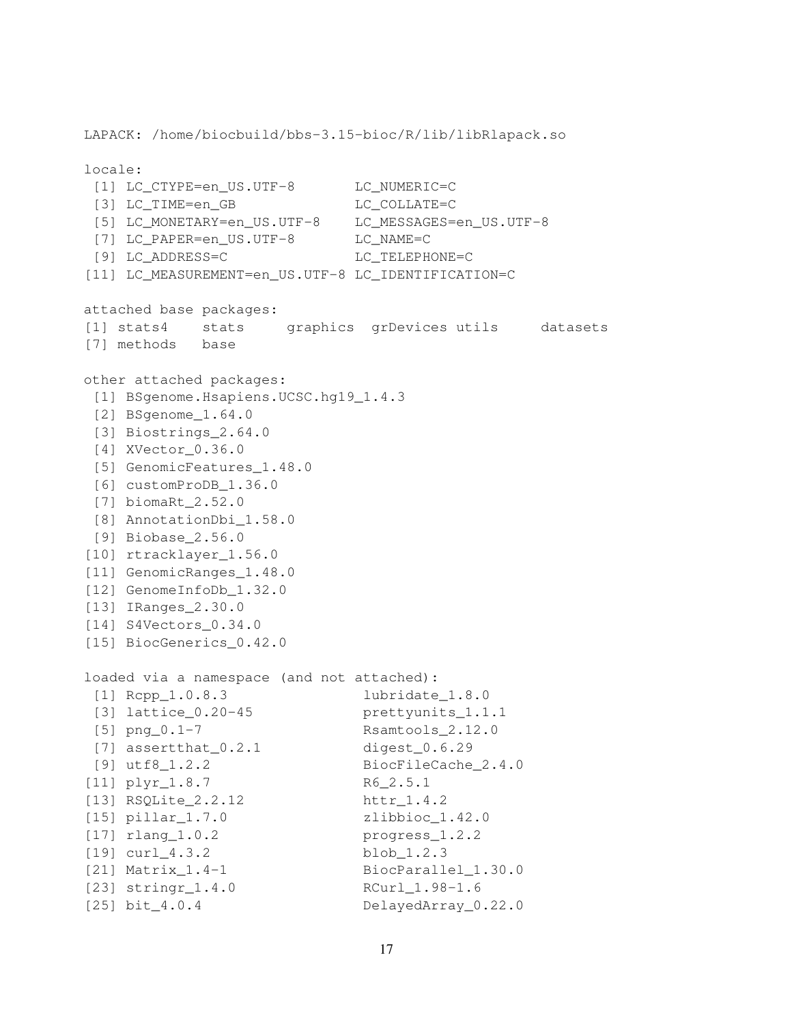```
LAPACK: /home/biocbuild/bbs-3.15-bioc/R/lib/libRlapack.so
locale:
[1] LC CTYPE=en_US.UTF-8 LC NUMERIC=C
[3] LC_TIME=en_GB LC_COLLATE=C
[5] LC_MONETARY=en_US.UTF-8 LC_MESSAGES=en_US.UTF-8
[7] LC_PAPER=en_US.UTF-8 LC_NAME=C
[9] LC_ADDRESS=C LC_TELEPHONE=C
[11] LC_MEASUREMENT=en_US.UTF-8 LC_IDENTIFICATION=C
attached base packages:
[1] stats4 stats graphics grDevices utils datasets
[7] methods base
other attached packages:
[1] BSgenome.Hsapiens.UCSC.hg19_1.4.3
[2] BSgenome_1.64.0
[3] Biostrings_2.64.0
[4] XVector 0.36.0
[5] GenomicFeatures 1.48.0
[6] customProDB_1.36.0
[7] biomaRt_2.52.0
[8] AnnotationDbi_1.58.0
[9] Biobase_2.56.0
[10] rtracklayer_1.56.0
[11] GenomicRanges_1.48.0
[12] GenomeInfoDb_1.32.0
[13] IRanges_2.30.0
[14] S4Vectors_0.34.0
[15] BiocGenerics_0.42.0
loaded via a namespace (and not attached):
[1] Rcpp_1.0.8.3 lubridate_1.8.0
[3] lattice 0.20-45 prettyunits 1.1.1
[5] png_0.1-7 Rsamtools_2.12.0
[7] assertthat_0.2.1 digest_0.6.29
[9] utf8_1.2.2 BiocFileCache_2.4.0
[11] plyr_1.8.7 R6_2.5.1
[13] RSQLite_2.2.12 httr_1.4.2
[15] pillar_1.7.0 zlibbioc_1.42.0
[17] rlang_1.0.2 progress_1.2.2
[19] curl_4.3.2 blob_1.2.3
[21] Matrix_1.4-1 BiocParallel_1.30.0
[23] stringr_1.4.0 RCurl_1.98-1.6
[25] bit_4.0.4 DelayedArray_0.22.0
```

```
17
```